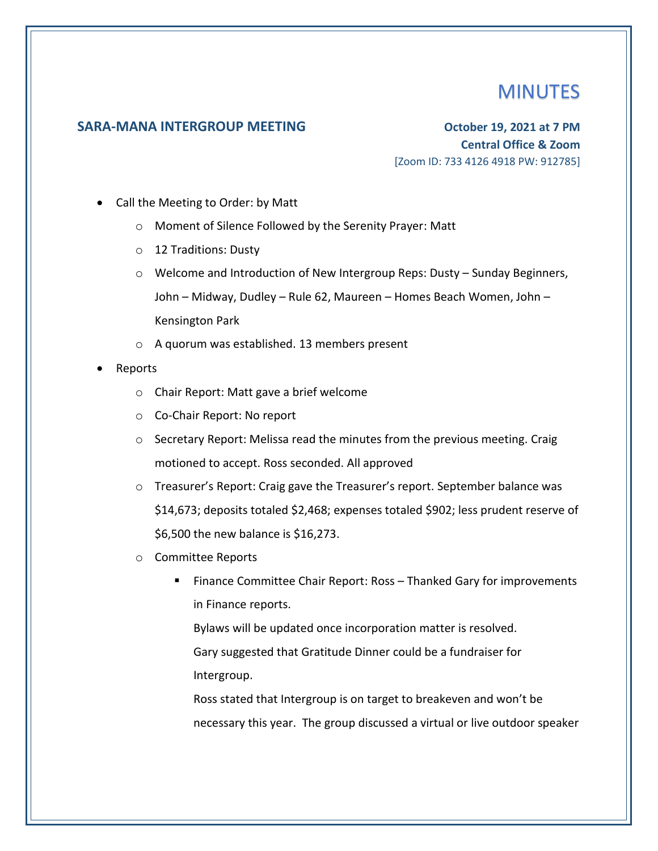## **MINUTES**

## **SARA-MANA INTERGROUP MEETING October 19, 2021 at 7 PM**

**Central Office & Zoom** [Zoom ID: 733 4126 4918 PW: 912785]

- Call the Meeting to Order: by Matt
	- o Moment of Silence Followed by the Serenity Prayer: Matt
	- o 12 Traditions: Dusty
	- o Welcome and Introduction of New Intergroup Reps: Dusty Sunday Beginners, John – Midway, Dudley – Rule 62, Maureen – Homes Beach Women, John – Kensington Park
	- o A quorum was established. 13 members present
- Reports
	- o Chair Report: Matt gave a brief welcome
	- o Co-Chair Report: No report
	- $\circ$  Secretary Report: Melissa read the minutes from the previous meeting. Craig motioned to accept. Ross seconded. All approved
	- $\circ$  Treasurer's Report: Craig gave the Treasurer's report. September balance was \$14,673; deposits totaled \$2,468; expenses totaled \$902; less prudent reserve of \$6,500 the new balance is \$16,273.
	- o Committee Reports
		- Finance Committee Chair Report: Ross Thanked Gary for improvements in Finance reports.

Bylaws will be updated once incorporation matter is resolved. Gary suggested that Gratitude Dinner could be a fundraiser for Intergroup.

Ross stated that Intergroup is on target to breakeven and won't be necessary this year. The group discussed a virtual or live outdoor speaker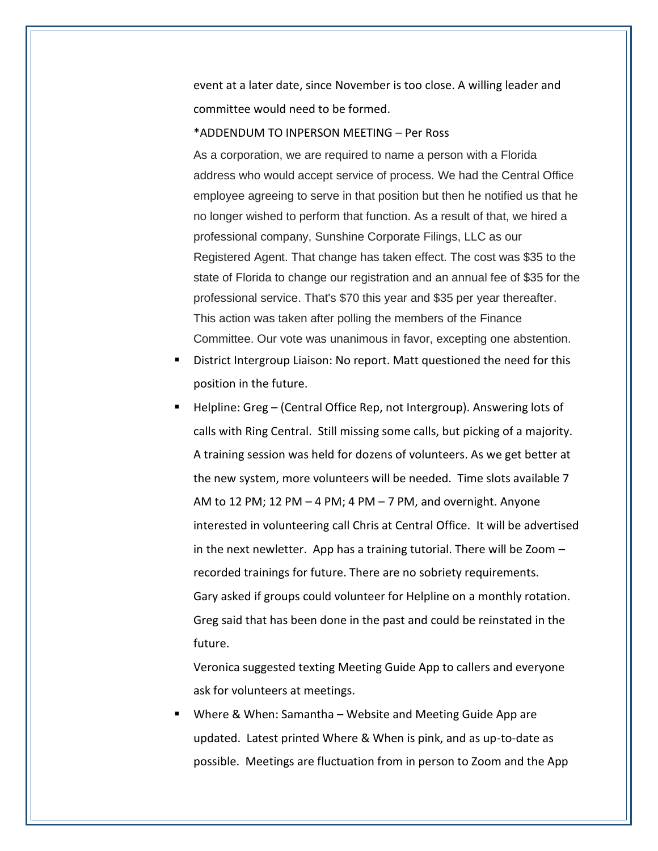event at a later date, since November is too close. A willing leader and committee would need to be formed.

## \*ADDENDUM TO INPERSON MEETING – Per Ross

As a corporation, we are required to name a person with a Florida address who would accept service of process. We had the Central Office employee agreeing to serve in that position but then he notified us that he no longer wished to perform that function. As a result of that, we hired a professional company, Sunshine Corporate Filings, LLC as our Registered Agent. That change has taken effect. The cost was \$35 to the state of Florida to change our registration and an annual fee of \$35 for the professional service. That's \$70 this year and \$35 per year thereafter. This action was taken after polling the members of the Finance Committee. Our vote was unanimous in favor, excepting one abstention.

- District Intergroup Liaison: No report. Matt questioned the need for this position in the future.
- Helpline: Greg (Central Office Rep, not Intergroup). Answering lots of calls with Ring Central. Still missing some calls, but picking of a majority. A training session was held for dozens of volunteers. As we get better at the new system, more volunteers will be needed. Time slots available 7 AM to 12 PM; 12 PM – 4 PM; 4 PM – 7 PM, and overnight. Anyone interested in volunteering call Chris at Central Office. It will be advertised in the next newletter. App has a training tutorial. There will be Zoom – recorded trainings for future. There are no sobriety requirements. Gary asked if groups could volunteer for Helpline on a monthly rotation. Greg said that has been done in the past and could be reinstated in the future.

Veronica suggested texting Meeting Guide App to callers and everyone ask for volunteers at meetings.

■ Where & When: Samantha – Website and Meeting Guide App are updated. Latest printed Where & When is pink, and as up-to-date as possible. Meetings are fluctuation from in person to Zoom and the App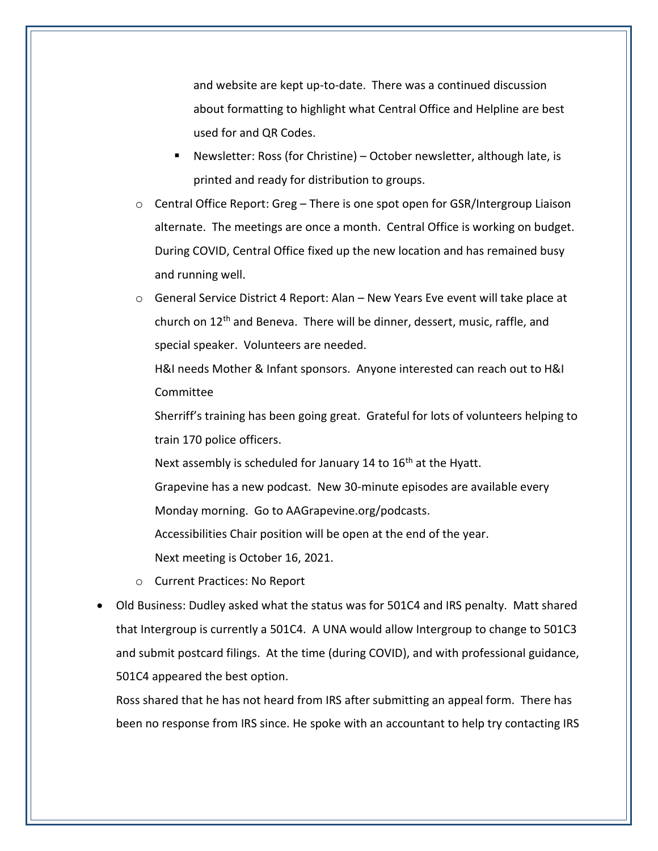and website are kept up-to-date. There was a continued discussion about formatting to highlight what Central Office and Helpline are best used for and QR Codes.

- Newsletter: Ross (for Christine) October newsletter, although late, is printed and ready for distribution to groups.
- $\circ$  Central Office Report: Greg There is one spot open for GSR/Intergroup Liaison alternate. The meetings are once a month. Central Office is working on budget. During COVID, Central Office fixed up the new location and has remained busy and running well.
- $\circ$  General Service District 4 Report: Alan New Years Eve event will take place at church on 12th and Beneva. There will be dinner, dessert, music, raffle, and special speaker. Volunteers are needed.

H&I needs Mother & Infant sponsors. Anyone interested can reach out to H&I Committee

Sherriff's training has been going great. Grateful for lots of volunteers helping to train 170 police officers.

Next assembly is scheduled for January 14 to 16<sup>th</sup> at the Hyatt.

Grapevine has a new podcast. New 30-minute episodes are available every Monday morning. Go to AAGrapevine.org/podcasts.

Accessibilities Chair position will be open at the end of the year.

Next meeting is October 16, 2021.

- o Current Practices: No Report
- Old Business: Dudley asked what the status was for 501C4 and IRS penalty. Matt shared that Intergroup is currently a 501C4. A UNA would allow Intergroup to change to 501C3 and submit postcard filings. At the time (during COVID), and with professional guidance, 501C4 appeared the best option.

Ross shared that he has not heard from IRS after submitting an appeal form. There has been no response from IRS since. He spoke with an accountant to help try contacting IRS